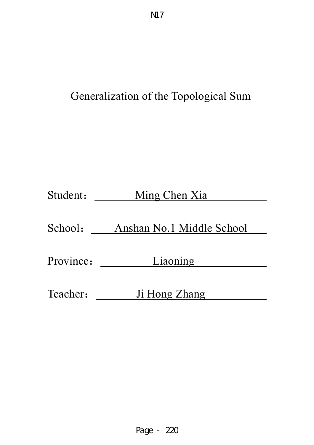# Generalization of the Topological Sum

| Student:  | Ming Chen Xia             |
|-----------|---------------------------|
| School:   | Anshan No.1 Middle School |
| Province: | Liaoning                  |
| Teacher:  | Ji Hong Zhang             |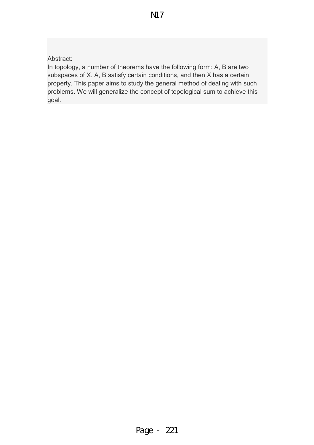Abstract:

In topology, a number of theorems have the following form: A, B are two subspaces of X. A, B satisfy certain conditions, and then X has a certain property. This paper aims to study the general method of dealing with such problems. We will generalize the concept of topological sum to achieve this goal.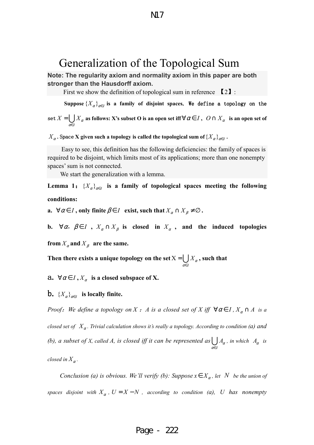# Generalization of the Topological Sum

**Note: The regularity axiom and normality axiom in this paper are both stronger than the Hausdorff axiom.** 

First we show the definition of topological sum in reference  $\lceil 2 \rceil$ :

Suppose  $\{X_\alpha\}_{\alpha\in I}$  is a family of disjoint spaces. We define a topology on the set *I*  $X = \bigcup X_\alpha$ <sup>α</sup>∈  $= ∪ X<sub>α</sub>$  as follows: X's subset O is an open set iff  $∀ α ∈ I$  ,  $O ∩ X<sub>α</sub>$  is an open set of

 $X_{\alpha}$  . Space  ${\bf X}$  given such a topology is called the topological sum of  $\{ X_{\alpha} \}_{\alpha \in I}$  .

 Easy to see, this definition has the following deficiencies: the family of spaces is required to be disjoint, which limits most of its applications; more than one nonempty spaces' sum is not connected.

We start the generalization with a lemma.

Lemma 1:  ${X_\alpha}_{\alpha=I}$  is a family of topological spaces meeting the following **conditions:** 

**a.**  $\forall \alpha \in I$ , only finite  $\beta \in I$  exist, such that  $X_{\alpha} \cap X_{\beta} \neq \emptyset$ .

**b.**  $\forall \alpha, \beta \in I$ ,  $X_{\alpha} \cap X_{\beta}$  is closed in  $X_{\alpha}$ , and the induced topologies

*I*

<sup>α</sup>∈

from  $X_\alpha$  and  $X_\beta$  are the same.

**Then there exists a unique topology on the set** X *X*<sup>α</sup>  $=\bigcup X_\alpha$ , such that

**a.**  $\forall \alpha \in I, X_{\alpha}$  is a closed subspace of X.

**b.**  ${X_\alpha}_{\alpha\in I}$  is locally finite.

*Proof:* We define a topology on *X* : *A* is a closed set of *X* iff  $\forall \alpha \in I$ ,  $X_{\alpha} \cap A$  is a *closed set of*  $X_\alpha$ *. Trivial calculation shows it's really a topology. According to condition (a) and (b), a subset of X, called A, is closed iff it can be represented as I A*α <sup>α</sup>∈  $\bigcup A_\alpha$ , in which  $A_\alpha$  is *closed in*  $X_\alpha$ .

*Conclusion (a) is obvious. We'll verify (b): Suppose*  $x \in X_\alpha$ , let N be the union of *spaces disjoint with*  $X_{\alpha}$ ,  $U = X - N$ , according to condition (*a*), U has nonempty

# Page - 222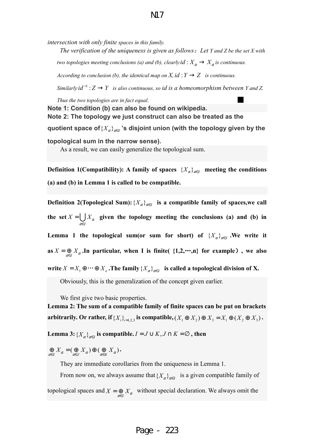# N17

*intersection with only finite spaces in this family.*

*The verification of the uniqueness is given as follows*:*Let Y and Z be the set X with two topologies meeting conclusions (a) and (b), clearly*  $id : X_\alpha \to X_\alpha$  *is continuous.* 

*According to conclusion (b), the identical map on*  $X$ *, id :*  $Y \rightarrow Z$  *is continuous.* 

*Similarly*  $id^{-1}$  :  $Z \rightarrow Y$  is also continuous, so *id is a homeomorphism between Y* and *Z*.

*Thus the two topologies are in fact equal.* 

**Note 1: Condition (b) can also be found on wikipedia. Note 2: The topology we just construct can also be treated as the**  quotient space of $\{ { X_\alpha } \}_{\alpha \in I}$  's disjoint union (with the topology given by the **topological sum in the narrow sense).** 

As a result, we can easily generalize the topological sum.

**Definition 1(Compatibility):** A family of spaces  $\{X_{\alpha}\}_{{\alpha}\in I}$  meeting the conditions **(a) and (b) in Lemma 1 is called to be compatible.** 

**Definition 2(Topological Sum):**  $\{X_\alpha\}_{\alpha \in I}$  is a compatible family of spaces,we call **the set** *I*  $X = \bigcup X_\alpha$ <sup>α</sup>∈  $=\bigcup X_\alpha$  given the topology meeting the conclusions (a) and (b) in Lemma 1 the topological sum(or sum for short) of  ${X_\alpha}_{\alpha\in I}$ . We write it **as**  $X = \bigoplus_{\alpha \in I} X_{\alpha}$ . In particular, when I is finite( {1,2,…,n} for example), we also **write**  $X = X_1 \oplus \cdots \oplus X_n$ . The family  $\{X_\alpha\}_{\alpha \in I}$  is called a topological division of X.

Obviously, this is the generalization of the concept given earlier.

We first give two basic properties.

**Lemma 2: The sum of a compatible family of finite spaces can be put on brackets**  arbitrarily. Or rather, if  ${X_i}_{i=1,2,3}$  is compatible,  $(X_1 \oplus X_2) \oplus X_3 = X_1 \oplus (X_2 \oplus X_3)$ .

**Lemma 3:**  ${X_\alpha}_{\alpha\in I}$  is compatible.  $I = J \cup K, J \cap K = \varnothing$ , then

 $\bigoplus_{\alpha \in I} X_{\alpha} = (\bigoplus_{\alpha \in J} X_{\alpha}) \oplus (\bigoplus_{\alpha \in K} X_{\alpha}).$ 

They are immediate corollaries from the uniqueness in Lemma 1.

From now on, we always assume that  ${X_\alpha}_{\alpha=I}$  is a given compatible family of topological spaces and  $X = \bigoplus_{\alpha \in I} X_{\alpha}$  without special declaration. We always omit the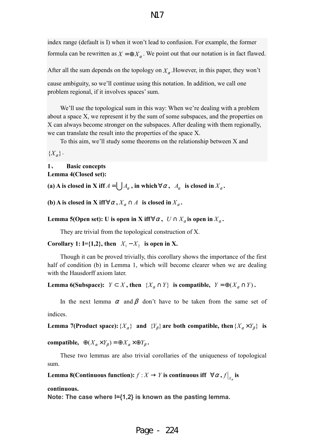# N17

index range (default is I) when it won't lead to confusion. For example, the former formula can be rewritten as  $X = \bigoplus X_\alpha$ . We point out that our notation is in fact flawed.

After all the sum depends on the topology on  $X_{\alpha}$ . However, in this paper, they won't

cause ambiguity, so we'll continue using this notation. In addition, we call one problem regional, if it involves spaces' sum.

We'll use the topological sum in this way: When we're dealing with a problem about a space X, we represent it by the sum of some subspaces, and the properties on X can always become stronger on the subspaces. After dealing with them regionally, we can translate the result into the properties of the space X.

To this aim, we'll study some theorems on the relationship between X and

 ${X_\alpha}.$ 

# **1**、 **Basic concepts Lemma 4(Closed set):**

**(a) A** is closed in **X** iff  $A = \bigcup A_\alpha$ , in which  $\forall \alpha, A_\alpha$  is closed in  $X_\alpha$ .

**(b)** A is closed in X iff  $\forall \alpha, X_{\alpha} \cap A$  is closed in  $X_{\alpha}$ .

**Lemma 5(Open set):** U is open in X iff $\forall \alpha$ ,  $U \cap X_{\alpha}$  is open in  $X_{\alpha}$ .

They are trivial from the topological construction of X.

**Corollary 1: I**={1,2}, then  $X_1 - X_2$  is open in X.

Though it can be proved trivially, this corollary shows the importance of the first half of condition (b) in Lemma 1, which will become clearer when we are dealing with the Hausdorff axiom later.

**Lemma 6(Subspace):**  $Y \subset X$ , then  $\{X_{\alpha} \cap Y\}$  is compatible,  $Y = \bigoplus (X_{\alpha} \cap Y)$ .

In the next lemma  $\alpha$  and  $\beta$  don't have to be taken from the same set of indices.

**Lemma 7(Product space):**  $\{X_{\alpha}\}\$  and  $\{Y_{\beta}\}\$  are both compatible, then  $\{X_{\alpha}\times Y_{\beta}\}\$  is

**compatible,**  $\oplus (X_{\alpha} \times Y_{\beta}) = \oplus X_{\alpha} \times \oplus Y_{\beta}$ .

These two lemmas are also trivial corollaries of the uniqueness of topological sum.

Lemma 8(Continuous function):  $f : X \to Y$  is continuous iff  $\forall \alpha, f|_{X_\alpha}$  is

#### **continuous.**

**Note: The case where I={1,2} is known as the pasting lemma.**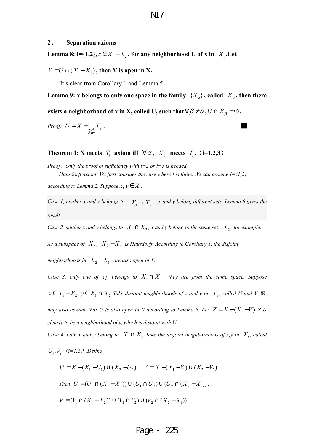#### **2**、 **Separation axioms**

Lemma 8: I={1,2},  $x \in X_1 - X_2$ , for any neighborhood U of x in  $X_1$ . Let

 $V = U \cap (X_1 - X_2)$ , then V is open in X.

It's clear from Corollary 1 and Lemma 5.

Lemma 9: x belongs to only one space in the family  $\{X_{\alpha}\}\$ , called  $X_{\alpha}$ , then there

**exists a neighborhood of x in X, called U, such that**  $\forall \beta \neq \alpha, U \cap X_\beta = \varnothing$ .

*Proof:* 
$$
U = X - \bigcup_{\beta \neq \alpha} X_{\beta}
$$
.

**Theorem 1: X** meets  $T_i$  axiom iff  $\forall \alpha, X_\alpha$  meets  $T_i$ . (**i**=1,2,3)

*Proof*:*Only the proof of sufficiency with i=2 or i=3 is needed. Hausdorff axiom: We first consider the case where I is finite. We can assume I={1,2}* 

*according to Lemma 2. Suppose*  $x, y \in X$ .

*Case 1, neither x and y belongs to*  $X_1 \cap X_2$ , x and y belong different sets. Lemma 8 gives the *result.* 

*Case 2, neither x and y belongs to*  $X_1 \cap X_2$ , x and y belong to the same set,  $X_2$  for example.

As a subspace of  $X_2$ ,  $X_2 - X_1$  is Hausdorff. According to Corollary 1, the disjoint

*neighborhoods in*  $X_2 - X_1$  *are also open in X.* 

*Case 3, only one of x,y belongs to*  $X_1 \cap X_2$ , they are from the same space. Suppose  $x \in X_1 - X_2$ ,  $y \in X_1 \cap X_2$ . Take disjoint neighborhoods of x and y in  $X_1$ , called U and V. We *may also assume that U is also open in X according to Lemma 8. Let*  $Z = X - (X_1 - V)$ . Z is *clearly to be a neighborhood of y, which is disjoint with U.* 

*Case 4, both x and y belong to*  $X_1 \cap X_2$ . Take the disjoint neighborhoods of x,y in  $X_i$ , called

 $U_i$ ,  $V_i$  (*i*=1,2) .Define

$$
U = X - (X_1 - U_1) \cup (X_2 - U_2) \quad V = X - (X_1 - V_1) \cup (X_2 - V_2)
$$

Then 
$$
U = (U_1 \cap (X_1 - X_2)) \cup (U_1 \cap U_2) \cup (U_2 \cap (X_2 - X_1)),
$$

$$
V = (V_1 \cap (X_1 - X_2)) \cup (V_1 \cap V_2) \cup (V_2 \cap (X_2 - X_1))
$$

## Page - 225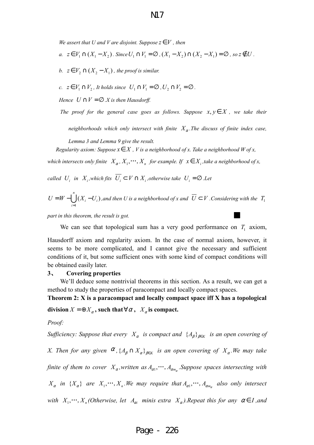# N17

*We assert that U and V are disjoint. Suppose*  $z \in V$ , then

- *a.*  $z \in V_1 \cap (X_1 X_2)$ . Since  $U_1 \cap V_1 = \emptyset$ ,  $(X_1 X_2) \cap (X_2 X_1) = \emptyset$ , so  $z \notin U$ .
- *b.*  $z \in V_2 \cap (X_2 X_1)$ , the proof is similar.
- *c.*  $z \in V_1 \cap V_2$ , It holds since  $U_1 \cap V_1 = \emptyset$ ,  $U_2 \cap V_2 = \emptyset$ .

*Hence*  $U \cap V = \emptyset$  *X* is then Hausdorff.

*The proof for the general case goes as follows. Suppose*  $x, y \in X$ *, we take their* 

*neighborhoods which only intersect with finite X*<sup>α</sup> *.The discuss of finite index case,* 

*Lemma 3 and Lemma 9 give the result.* 

*Regularity axiom: Suppose*  $x \in X$ , *V* is a neighborhood of x. Take a neighborhood *W* of x,

*which intersects only finite*  $X_{\alpha}$ ,  $X_1$ ,  $\cdots$ ,  $X_n$  *for example. If*  $x \in X_i$ , *take a neighborhood of x*,

*called*  $U_i$  *in*  $X_i$ , which fits  $U_i \subset V \cap X_i$ , otherwise take  $U_i = \emptyset$  . Let

$$
U = W - \bigcup_{i=1}^{n} (X_i - U_i)
$$
, and then U is a neighborhood of x and  $\overline{U} \subset V$ . Considering with the  $T_1$ 

*part in this theorem, the result is got.* 

We can see that topological sum has a very good performance on  $T_1$  axiom,

Hausdorff axiom and regularity axiom. In the case of normal axiom, however, it seems to be more complicated, and I cannot give the necessary and sufficient conditions of it, but some sufficient ones with some kind of compact conditions will be obtained easily later.

#### **3**、 **Covering properties**

We'll deduce some nontrivial theorems in this section. As a result, we can get a method to study the properties of paracompact and locally compact spaces.

**Theorem 2: X is a paracompact and locally compact space iff X has a topological division**  $X = \bigoplus X_\alpha$ , such that  $\forall \alpha, X_\alpha$  is compact.

*Proof:* 

*Sufficiency: Suppose that every*  $X_{\alpha}$  *is compact and*  $\{A_{\beta}\}_{\beta \in K}$  *is an open covering of X. Then for any given*  $\alpha$ ,  $\{A_\beta \cap X_\alpha\}_{\beta \in K}$  is an open covering of  $X_\alpha$ . We may take *finite of them to cover*  $X_{\alpha}$ , written as  $A_{\alpha 1}$ ,  $\dots$ ,  $A_{\alpha m_{\alpha}}$ . Suppose spaces intersecting with  $X_{\alpha}$  in  $\{X_{\alpha}\}\$  are  $X_1, \dots, X_n$ . We may require that  $A_{\alpha 1}, \dots, A_{\alpha m_{\alpha}}\}$  also only intersect *with*  $X_1, \dots, X_n$  (Otherwise, let  $A_{\alpha i}$  minis extra  $X_{\alpha}$ ). Repeat this for any  $\alpha \in I$ , and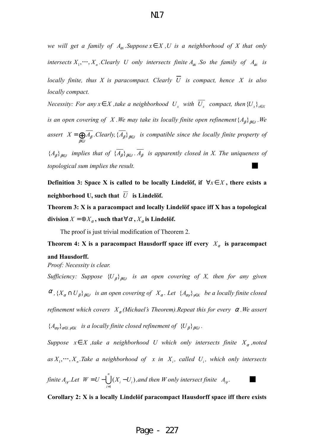*we will get a family of*  $A_{\alpha i}$ *. Suppose*  $x \in X$ , U is a neighborhood of X that only

*locally finite, thus X is paracompact. Clearly*  $\overline{U}$  *is compact, hence X is also locally compact.* 

*Necessity: For any*  $x \in X$ , take a neighborhood  $U_x$  with  $U_x$  compact, then  ${U_x}_{x \in X}$ *is an open covering of X .We may take its locally finite open refinement*  $\{A_{\beta}\}_{\beta \in J}$  *.We assert*   $X = \bigoplus_{\beta \in J} A_{\beta}$ . *Clearly*,  $\{A_{\beta}\}_{{\beta \in J}}$  is compatible since the locally finite property of  ${A_{\beta}}_{\beta \in J}$  *implies that of*  ${A_{\beta}}_{\beta \in J}$ .  $A_{\beta}$  *is apparently closed in X. The uniqueness of topological sum implies the result.* 

**Definition 3: Space X is called to be locally Lindelöf, if**  $\forall x \in X$ **, there exists a** neighborhood U, such that  $\overline{U}$  is Lindelöf.

**Theorem 3: X is a paracompact and locally Lindelöf space iff X has a topological division**  $X = \bigoplus X_\alpha$ , such that  $\forall \alpha, X_\alpha$  is Lindelöf.

The proof is just trivial modification of Theorem 2.

**Theorem 4: X** is a paracompact Hausdorff space iff every  $X_\alpha$  is paracompact **and Hausdorff.** 

*Proof: Necessity is clear.* 

*Sufficiency: Suppose*  ${U_{\beta}}_{\beta \in J}$  *is an open covering of X, then for any given*  $\alpha$ ,  $\{X_\alpha \cap U_\beta\}_{\beta \in J}$  is an open covering of  $X_\alpha$ . Let  $\{A_{\alpha\gamma}\}_{\gamma \in K}$  be a locally finite closed *refinement which covers*  $X_\alpha$  *(Michael's Theorem).Repeat this for every*  $\alpha$ *.We assert*  ${A_{\alpha\gamma}}_{\alpha\in I, \gamma\in K}$  *is a locally finite closed refinement of*  ${U_{\beta}}_{\beta\in J}$ .

Suppose  $x \in X$ , take a neighborhood U which only intersects finite  $X_{\alpha}$ , noted  $as X_1, \dots, X_n$ . Take a neighborhood of x in  $X_i$ , called  $U_i$ , which only intersects

*finite A<sup>i</sup>*<sup>γ</sup> *.Let*  1  $(X_{i} - U_{i})$ , *n*  $i \quad \vee_{i}$ *i*  $W = U - \bigcup (X_i - U)$ =  $= U - \bigcup_{i=1}^{n} (X_i - U_i)$  , and then W only intersect finite  $A_i$ *.* █

**Corollary 2: X is a locally Lindelöf paracompact Hausdorff space iff there exists**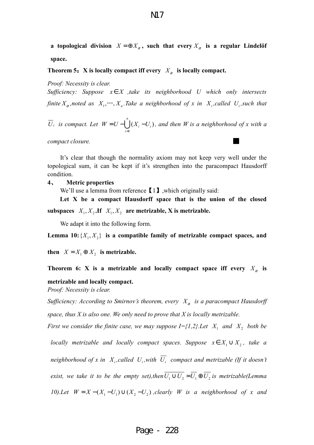**a** topological division  $X = \bigoplus X_\alpha$ , such that every  $X_\alpha$  is a regular Lindelöf **space.** 

### **Theorem 5:** X is locally compact iff every  $X_\alpha$  is locally compact.

*Proof: Necessity is clear.* 

*Sufficiency: Suppose*  $x \in X$  *,take its neighborhood U which only intersects finite*  $X_\alpha$ , *noted as*  $X_1, \dots, X_n$ . Take a neighborhood of x in  $X_i$ , called  $U_i$ , such that

*Ui is compact. Let*  1  $(X_i - U_i)$ , *n*  $i \quad \vee_{i}$ *i*  $W = U - \bigcup (X_i - U)$ =  $= U - \bigcup_{i=1}^{n} (X_i - U_i)$ , and then W is a neighborhood of x with a

 $compact$  *compact closure.* 

It's clear that though the normality axiom may not keep very well under the topological sum, it can be kept if it's strengthen into the paracompact Hausdorff condition.

#### **4**、 **Metric properties**

We'll use a lemma from reference  $\lll 1$ . which originally said:

**Let X be a compact Hausdorff space that is the union of the closed**  subspaces  $X_1, X_2$ . If  $X_1, X_2$  are metrizable, X is metrizable.

We adapt it into the following form.

Lemma 10:  $\{X_1, X_2\}$  is a compatible family of metrizable compact spaces, and

**then**  $X = X_1 \oplus X_2$  is metrizable.

**Theorem 6: X is a metrizable and locally compact space iff every**  $X_{\alpha}$  **is** 

#### **metrizable and locally compact.**

*Proof: Necessity is clear.* 

*Sufficiency: According to Smirnov's theorem, every*  $X_\alpha$  *is a paracompact Hausdorff space, thus X is also one. We only need to prove that X is locally metrizable.* 

*First we consider the finite case, we may suppose*  $I = \{1,2\}$ *. Let*  $X_1$  and  $X_2$  both be

*locally metrizable and locally compact spaces. Suppose*  $x \in X_1 \cup X_2$ , take a *neighborhood of x in*  $X_i$ , called  $U_i$ , with  $U_i$  compact and metrizable (If it doesn't *exist, we take it to be the empty set),then*  $\overline{U_1 \cup U_2} = \overline{U_1} \oplus \overline{U_2}$  *is metrizable*(*Lemma 10).Let*  $W = X - (X_1 - U_1) \cup (X_2 - U_2)$ , *clearly W is a neighborhood of x and* 

# Page - 228